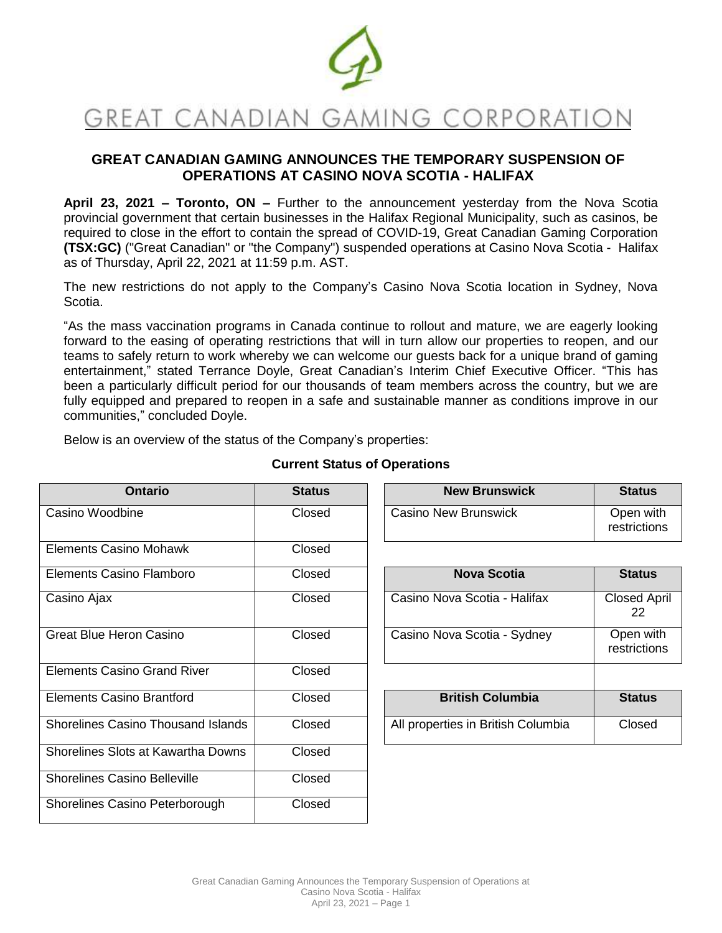

# **GREAT CANADIAN GAMING ANNOUNCES THE TEMPORARY SUSPENSION OF OPERATIONS AT CASINO NOVA SCOTIA - HALIFAX**

**April 23, 2021 – Toronto, ON –** Further to the announcement yesterday from the Nova Scotia provincial government that certain businesses in the Halifax Regional Municipality, such as casinos, be required to close in the effort to contain the spread of COVID-19, Great Canadian Gaming Corporation **(TSX:GC)** ("Great Canadian" or "the Company") suspended operations at Casino Nova Scotia - Halifax as of Thursday, April 22, 2021 at 11:59 p.m. AST.

The new restrictions do not apply to the Company's Casino Nova Scotia location in Sydney, Nova Scotia.

"As the mass vaccination programs in Canada continue to rollout and mature, we are eagerly looking forward to the easing of operating restrictions that will in turn allow our properties to reopen, and our teams to safely return to work whereby we can welcome our guests back for a unique brand of gaming entertainment," stated Terrance Doyle, Great Canadian's Interim Chief Executive Officer. "This has been a particularly difficult period for our thousands of team members across the country, but we are fully equipped and prepared to reopen in a safe and sustainable manner as conditions improve in our communities," concluded Doyle.

Below is an overview of the status of the Company's properties:

| <b>Ontario</b>                            | <b>Status</b> | <b>New Brunswick</b>               | <b>Status</b>             |
|-------------------------------------------|---------------|------------------------------------|---------------------------|
| Casino Woodbine                           | Closed        | Casino New Brunswick               | Open with<br>restrictions |
| <b>Elements Casino Mohawk</b>             | Closed        |                                    |                           |
| Elements Casino Flamboro                  | Closed        | <b>Nova Scotia</b>                 | <b>Status</b>             |
| Casino Ajax                               | Closed        | Casino Nova Scotia - Halifax       | <b>Closed April</b><br>22 |
| <b>Great Blue Heron Casino</b>            | Closed        | Casino Nova Scotia - Sydney        | Open with<br>restrictions |
| <b>Elements Casino Grand River</b>        | Closed        |                                    |                           |
| <b>Elements Casino Brantford</b>          | Closed        | <b>British Columbia</b>            | <b>Status</b>             |
| <b>Shorelines Casino Thousand Islands</b> | Closed        | All properties in British Columbia | Closed                    |
| Shorelines Slots at Kawartha Downs        | Closed        |                                    |                           |
| <b>Shorelines Casino Belleville</b>       | Closed        |                                    |                           |
| Shorelines Casino Peterborough            | Closed        |                                    |                           |

## **Current Status of Operations**

| Ontario | <b>Status</b> | <b>New Brunswick</b>        | <b>Status</b>             |
|---------|---------------|-----------------------------|---------------------------|
| ine     | Closed        | <b>Casino New Brunswick</b> | Open with<br>restrictions |

| Nova Scotia                  | <b>Status</b>             |
|------------------------------|---------------------------|
| Casino Nova Scotia - Halifax | <b>Closed April</b><br>22 |
| Casino Nova Scotia - Sydney  | Open with<br>restrictions |

| <b>British Columbia</b>            | <b>Status</b> |
|------------------------------------|---------------|
| All properties in British Columbia | Closed        |